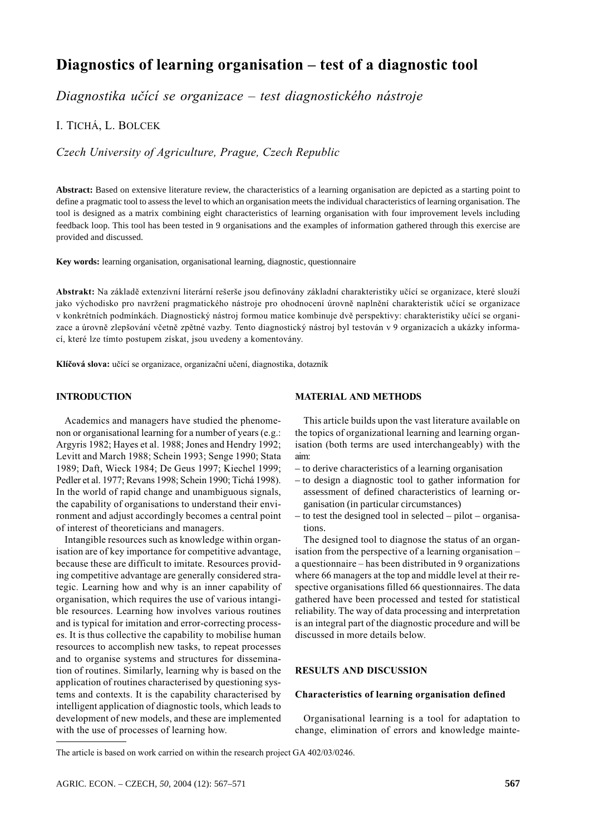# Diagnostics of learning organisation – test of a diagnostic tool

Diagnostika učicí se organizace – test diagnostického nástroje

I. TICHÁ, L. BOLCEK

Czech University of Agriculture, Prague, Czech Republic

Abstract: Based on extensive literature review, the characteristics of a learning organisation are depicted as a starting point to define a pragmatic tool to assess the level to which an organisation meets the individual characteristics of learning organisation. The tool is designed as a matrix combining eight characteristics of learning organisation with four improvement levels including feedback loop. This tool has been tested in 9 organisations and the examples of information gathered through this exercise are provided and discussed.

Key words: learning organisation, organisational learning, diagnostic, questionnaire

Abstrakt: Na základě extenzívní literární rešerše jsou definovány základní charakteristiky učící se organizace, které slouží jako východisko pro navržení pragmatického nástroje pro ohodnocení úrovně naplnění charakteristik učící se organizace v konkrétních podmínkách. Diagnostický nástroj formou matice kombinuje dvě perspektivy: charakteristiky učící se organizace a úrovně zlepšování včetně zpětné vazby. Tento diagnostický nástroj byl testován v 9 organizacích a ukázky informací, které lze tímto postupem získat, jsou uvedeny a komentovány.

Klíčová slova: učící se organizace, organizační učení, diagnostika, dotazník

#### **INTRODUCTION**

Academics and managers have studied the phenomenon or organisational learning for a number of years (e.g.: Argyris 1982; Hayes et al. 1988; Jones and Hendry 1992; Levitt and March 1988; Schein 1993; Senge 1990; Stata 1989; Daft, Wieck 1984; De Geus 1997; Kiechel 1999; Pedler et al. 1977; Revans 1998; Schein 1990; Tichá 1998). In the world of rapid change and unambiguous signals, the capability of organisations to understand their environment and adjust accordingly becomes a central point of interest of theoreticians and managers.

Intangible resources such as knowledge within organisation are of key importance for competitive advantage, because these are difficult to imitate. Resources providing competitive advantage are generally considered strategic. Learning how and why is an inner capability of organisation, which requires the use of various intangible resources. Learning how involves various routines and is typical for imitation and error-correcting processes. It is thus collective the capability to mobilise human resources to accomplish new tasks, to repeat processes and to organise systems and structures for dissemination of routines. Similarly, learning why is based on the application of routines characterised by questioning systems and contexts. It is the capability characterised by intelligent application of diagnostic tools, which leads to development of new models, and these are implemented with the use of processes of learning how.

## **MATERIAL AND METHODS**

This article builds upon the vast literature available on the topics of organizational learning and learning organisation (both terms are used interchangeably) with the aim·

- to derive characteristics of a learning organisation
- to design a diagnostic tool to gather information for assessment of defined characteristics of learning organisation (in particular circumstances)
- $-$  to test the designed tool in selected  $-$  pilot  $-$  organisations.

The designed tool to diagnose the status of an organisation from the perspective of a learning organisation – a questionnaire – has been distributed in 9 organizations where 66 managers at the top and middle level at their respective organisations filled 66 questionnaires. The data gathered have been processed and tested for statistical reliability. The way of data processing and interpretation is an integral part of the diagnostic procedure and will be discussed in more details below.

### **RESULTS AND DISCUSSION**

#### Characteristics of learning organisation defined

Organisational learning is a tool for adaptation to change, elimination of errors and knowledge mainte-

The article is based on work carried on within the research project GA 402/03/0246.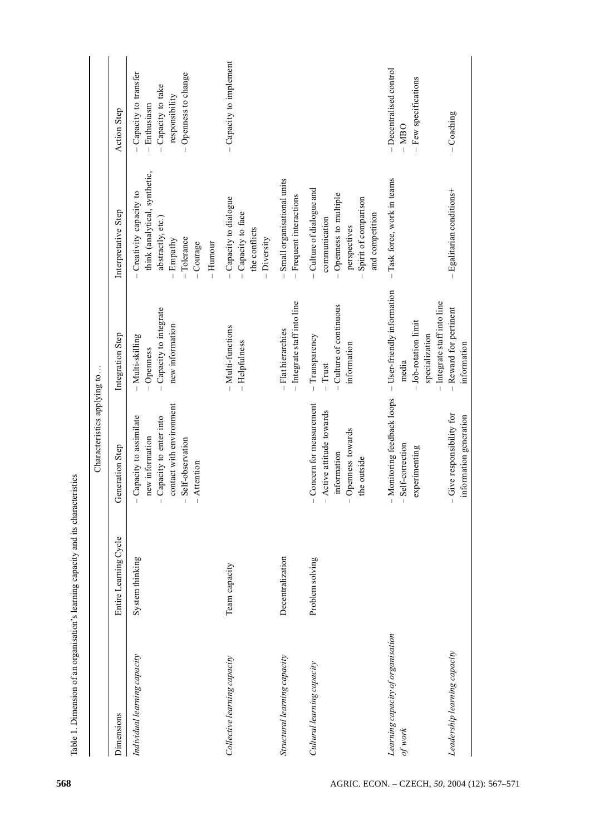|                                              |                       | Characteristics applying to                                                                                                                              |                                                                                  |                                                                                                                                           |                                                                                                        |
|----------------------------------------------|-----------------------|----------------------------------------------------------------------------------------------------------------------------------------------------------|----------------------------------------------------------------------------------|-------------------------------------------------------------------------------------------------------------------------------------------|--------------------------------------------------------------------------------------------------------|
| Dimensions                                   | Entire Learning Cycle | Generation Step                                                                                                                                          | Integration Step                                                                 | Interpretative Step                                                                                                                       | Action Step                                                                                            |
| Individual learning capacity                 | System thinking       | contact with environment<br>- Capacity to assimilate<br>- Capacity to enter into<br>new information<br>Self-observation<br>$-A$ ttention<br>$\mathbf{L}$ | Capacity to integrate<br>new information<br>Multi-skilling<br>Openness           | think (analytical, synthetic,<br>Creativity capacity to<br>abstractly, etc.)<br>$-$ Tolerance<br>$-$ Empathy<br>$-$ Courage<br>$-$ Humour | Capacity to transfer<br>- Openness to change<br>- Capacity to take<br>responsibility<br>$-$ Enthusiasm |
| Collective learning capacity                 | Team capacity         |                                                                                                                                                          | - Multi-functions<br>$-$ Helpfulness                                             | - Capacity to dialogue<br>- Capacity to face<br>the conflicts<br>$-$ Diversity                                                            | - Capacity to implement                                                                                |
| Structural learning capacity                 | Decentralization      |                                                                                                                                                          | - Integrate staff into line<br>- Flat hierarchies                                | Small organisational units<br>- Frequent interactions                                                                                     |                                                                                                        |
| Cultural learning capacity                   | Problem solving       | Concern for measurement<br>Active attitude towards<br>Openness towards<br>information<br>the outside<br>$\mathbb T$<br>$\mathbf{I}$                      | Culture of continuous<br>Transparency<br>information<br>Trust<br>$\overline{1}$  | Culture of dialogue and<br>- Openness to multiple<br>Spirit of comparison<br>and competition<br>communication<br>perspectives             |                                                                                                        |
| Learning capacity of organisation<br>of work |                       | - Monitoring feedback loops - User-friendly information<br>Self-correction<br>experimenting<br>$\mathbf{I}$                                              | - Integrate staff into line<br>$-$ Job-rotation limit<br>specialization<br>media | - Task force, work in teams                                                                                                               | - Decentralised control<br>- Few specifications<br>$-MBO$                                              |
| Leadership learning capacity                 |                       | - Give responsibility for<br>information generation                                                                                                      | Reward for pertinent<br>information<br>$\mathbb{I}$                              | $-$ Egalitarian conditions+                                                                                                               | $-$ Coaching                                                                                           |

Table 1. Dimension of an organisation's learning capacity and its characteristics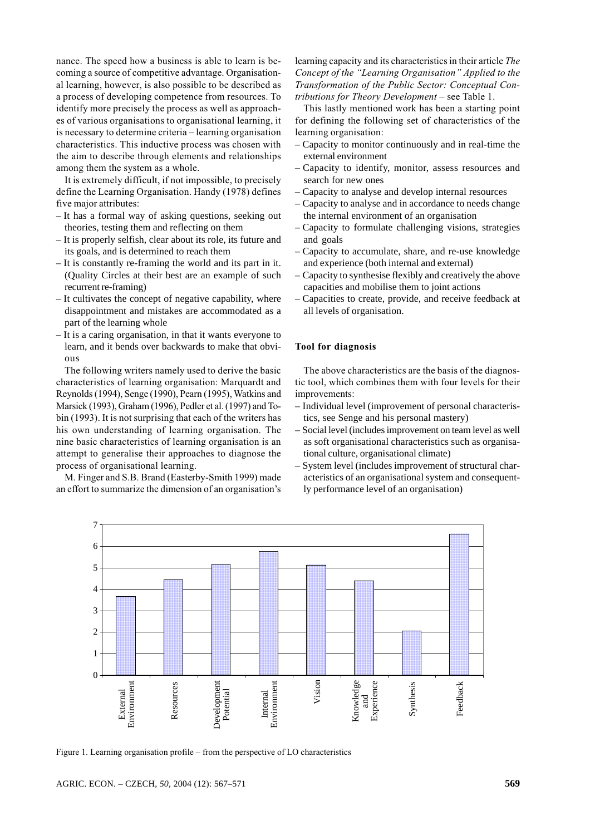nance. The speed how a business is able to learn is becoming a source of competitive advantage. Organisational learning, however, is also possible to be described as a process of developing competence from resources. To identify more precisely the process as well as approaches of various organisations to organisational learning, it is necessary to determine criteria - learning organisation characteristics. This inductive process was chosen with the aim to describe through elements and relationships among them the system as a whole.

It is extremely difficult, if not impossible, to precisely define the Learning Organisation. Handy (1978) defines five major attributes:

- It has a formal way of asking questions, seeking out theories, testing them and reflecting on them
- It is properly selfish, clear about its role, its future and its goals, and is determined to reach them
- It is constantly re-framing the world and its part in it. (Quality Circles at their best are an example of such recurrent re-framing)
- It cultivates the concept of negative capability, where disappointment and mistakes are accommodated as a part of the learning whole
- It is a caring organisation, in that it wants everyone to learn, and it bends over backwards to make that obvious

The following writers namely used to derive the basic characteristics of learning organisation: Marquardt and Reynolds (1994), Senge (1990), Pearn (1995), Watkins and Marsick (1993), Graham (1996), Pedler et al. (1997) and Tobin (1993). It is not surprising that each of the writers has his own understanding of learning organisation. The nine basic characteristics of learning organisation is an attempt to generalise their approaches to diagnose the process of organisational learning.

M. Finger and S.B. Brand (Easterby-Smith 1999) made an effort to summarize the dimension of an organisation's learning capacity and its characteristics in their article The Concept of the "Learning Organisation" Applied to the Transformation of the Public Sector: Conceptual Contributions for Theory Development - see Table 1.

This lastly mentioned work has been a starting point for defining the following set of characteristics of the learning organisation:

- Capacity to monitor continuously and in real-time the external environment
- Capacity to identify, monitor, assess resources and search for new ones
- Capacity to analyse and develop internal resources
- Capacity to analyse and in accordance to needs change the internal environment of an organisation
- Capacity to formulate challenging visions, strategies and goals
- Capacity to accumulate, share, and re-use knowledge and experience (both internal and external)
- Capacity to synthesise flexibly and creatively the above capacities and mobilise them to joint actions
- Capacities to create, provide, and receive feedback at all levels of organisation.

## **Tool for diagnosis**

The above characteristics are the basis of the diagnostic tool, which combines them with four levels for their improvements:

- Individual level (improvement of personal characteristics, see Senge and his personal mastery)
- Social level (includes improvement on team level as well as soft organisational characteristics such as organisational culture, organisational climate)
- System level (includes improvement of structural characteristics of an organisational system and consequently performance level of an organisation)



Figure 1. Learning organisation profile – from the perspective of LO characteristics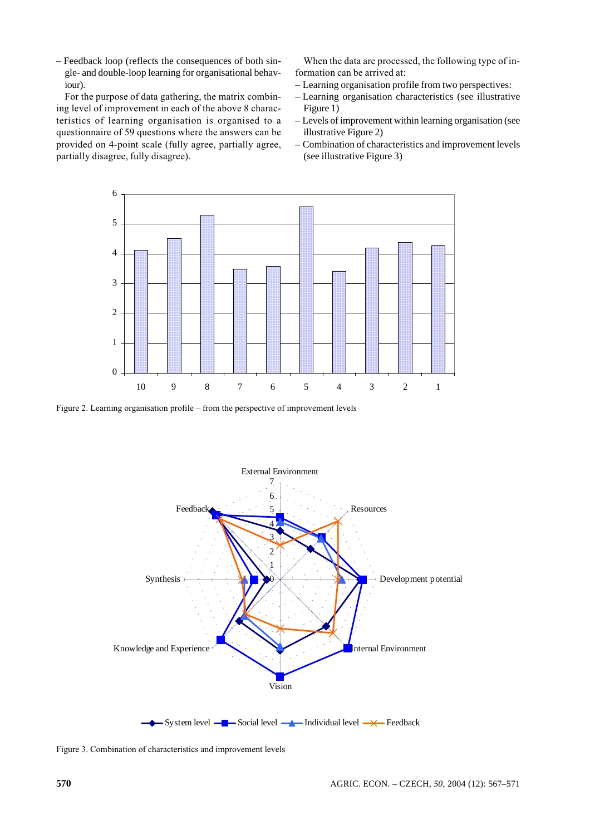– Feedback loop (reflects the consequences of both single- and double-loop learning for organisational behaviour).

For the purpose of data gathering, the matrix combining level of improvement in each of the above 8 characteristics of learning organisation is organised to a questionnaire of 59 questions where the answers can be provided on 4-point scale (fully agree, partially agree, partially disagree, fully disagree).

When the data are processed, the following type of information can be arrived at:

- Learning organisation profile from two perspectives:
- Learning organisation characteristics (see illustrative Figure 1)
- Levels of improvement within learning organisation (see illustrative Figure 2)
- Combination of characteristics and improvement levels (see illustrative Figure 3)



Figure 2. Learning organisation profile – from the perspective of improvement levels



Figure 3. Combination of characteristics and improvement levels